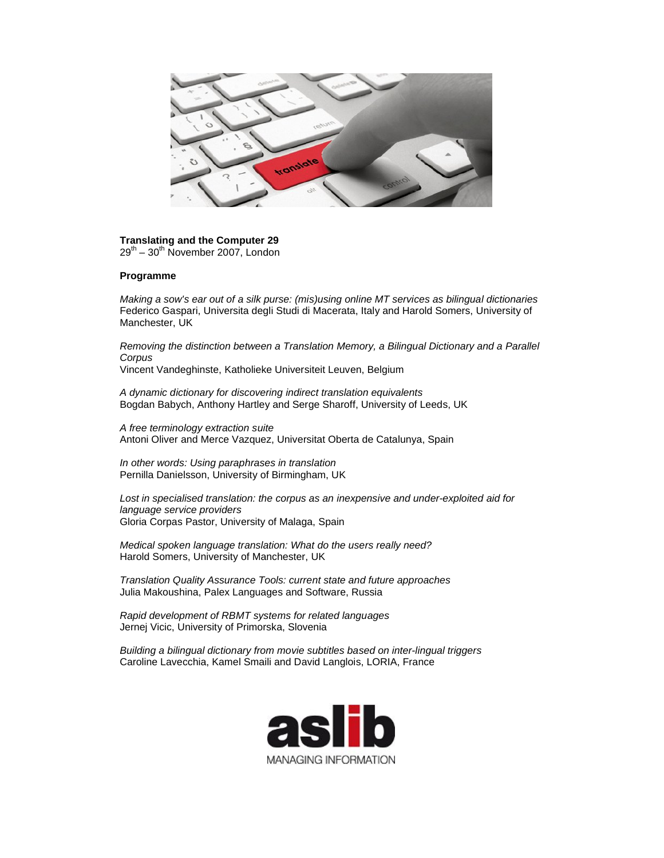

## **Translating and the Computer 29**

 $29^{th}$  –  $30^{th}$  November 2007, London

## **Programme**

*Making a sow's ear out of a silk purse: (mis)using online MT services as bilingual dictionaries* Federico Gaspari, Universita degli Studi di Macerata, Italy and Harold Somers, University of Manchester, UK

*Removing the distinction between a Translation Memory, a Bilingual Dictionary and a Parallel Corpus*

Vincent Vandeghinste, Katholieke Universiteit Leuven, Belgium

*A dynamic dictionary for discovering indirect translation equivalents* Bogdan Babych, Anthony Hartley and Serge Sharoff, University of Leeds, UK

*A free terminology extraction suite* Antoni Oliver and Merce Vazquez, Universitat Oberta de Catalunya, Spain

*In other words: Using paraphrases in translation* Pernilla Danielsson, University of Birmingham, UK

*Lost in specialised translation: the corpus as an inexpensive and under-exploited aid for language service providers* Gloria Corpas Pastor, University of Malaga, Spain

*Medical spoken language translation: What do the users really need?* Harold Somers, University of Manchester, UK

*Translation Quality Assurance Tools: current state and future approaches* Julia Makoushina, Palex Languages and Software, Russia

*Rapid development of RBMT systems for related languages* Jernej Vicic, University of Primorska, Slovenia

*Building a bilingual dictionary from movie subtitles based on inter-lingual triggers* Caroline Lavecchia, Kamel Smaili and David Langlois, LORIA, France